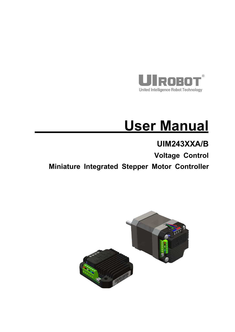

# **User Manual**

# **UIM243XXA/B**

**Voltage Control**

**Miniature Integrated Stepper Motor Controller**

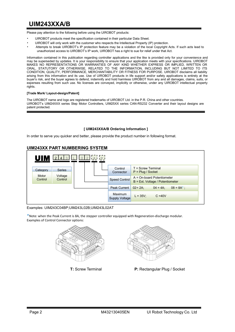Please pay attention to the following before using the UIROBOT products:

- UIROBOT products meet the specification contained in their particular Data Sheet.
- UIROBOT will only work with the customer who respects the Intellectual Property (IP) protection.
- Attempts to break UIROBOT's IP protection feature may be a violation of the local Copyright Acts. If such acts lead to unauthorized access to UIROBOT's IP work, UIROBOT has a right to sue for relief under that Act.

Information contained in this publication regarding controller applications and the like is provided only for your convenience and may be superseded by updates. It is your responsibility to ensure that yourapplication meets with your specifications. UIROBOT MAKES NO REPRESENTATIONS OR WARRANTIES OF ANY KIND WHETHER EXPRESS OR IMPLIED, WRITTEN OR ORAL, STATUTORY OR OTHERWISE, RELATED TO THE INFORMATION, INCLUDING BUT NOT LIMITED TO ITS CONDITION, QUALITY, PERFORMANCE, MERCHANTABILITY OR FITNESS FOR PURPOSE. UIROBOT disclaims all liability arising from this information and its use. Use of UIROBOT products in life support and/or safety applications is entirely at the buyer<sup>'</sup>s risk, and the buyer agrees to defend, indemnify and hold harmless UIROBOT from any and all damages, claims, suits, or expenses resulting from such use. No licenses are conveyed, implicitly or otherwise, under any UIROBOT intellectual property rights.

#### **[Trade Mark/ Layout-design/Patent]**

The UIROBOT name and logo are registered trademarks of UIROBOT Ltd. in the P.R. China and other countries. UIROBOT's UIM24XXX series Step Motor Controllers, UIM25XX series CAN-RS232 Converter and their layout designs are patent protected.

#### **[ UIM243XXA/B Ordering Information ]**

In order to serve you quicker and better, please provide the product number in following format.

#### **UIM243XX PART NUMBERING SYSTEM**



Examples: UIM243C04BP;UIM243L02B;UIM243L02AT

\*Note: when the Peak Current is 8A, the stepper controller equipped with Regeneration-discharge modular. Examples of Control Connector options:





**T:** Screw Terminal **P:** Rectangular Plug / Socket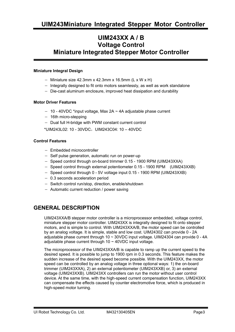## **UIM243XX A / B Voltage Control Miniature Integrated Stepper Motor Controller**

#### **Miniature Integral Design**

- Miniature size 42.3mm x 42.3mm x 16.5mm (L x W x H)
- $-$  Integrally designed to fit onto motors seamlessly, as well as work standalone
- Die-cast aluminum enclosure, improved heat dissipation and durability

#### **Motor Driver Features**

- $-10 40$ VDC \*input voltage, Max 2A  $\sim$  4A adjustable phase current
- $-$  16th micro-stepping
- Dual full H-bridge with PWM constant current control

 $*$ UIM243L02: 10 - 30VDC, UIM243C04: 10 - 40VDC

#### **Control Features**

- Embedded microcontroller
- $-$  Self pulse generation, automatic run on power-up
- Speed control through on-board trimmer 0.15 1900 RPM (UIM243XXA)
- Speed control through external potentiometer 0.15 1900 RPM (UIM243XXB)
- Speed control through 0 5V voltage input 0.15 1900 RPM (UIM243XXB)
- 0.3 seconds acceleration period
- Switch control run/stop, direction, enable/shutdown
- Automatic current reduction / power saving

## **GENERAL DESCRIPTION**

UIM243XXA/B stepper motorcontroller is a microprocessor embedded, voltage control, miniature stepper motor controller. UIM243XX is integrally designed to fit onto stepper motors, and is simple to control. With UIM243XXA/B, the motor speed can be controlled by an analog voltage. It is simple, stable and low cost. UIM24302 can provide 0 - 2A adjustable phase current through 10 ~ 30VDC input voltage. UIM24304 can provide 0 - 4A adjustable phase current through  $10 \sim 40$ VDC input voltage.

The microprocessor of the UIM243XXA/B is capable to ramp up the current speed to the desired speed. It is possible to jump to 1900 rpm in 0.3 seconds. This feature makes the sudden increase of the desired speed become possible. With the UIM243XX, the motor speed can be controlled by an analog voltage in three optional ways: 1) the on-board trimmer (UIM243XXA), 2) an external potentiometer (UIM243XXB) or, 3) an external voltage (UIM243XXB). UIM243XX controllers can run the motor without user control device. At the same time, with the high-speed current compensation function, UIM243XX can compensate the effects caused by counter electromotive force, which is produced in high-speed motor turning.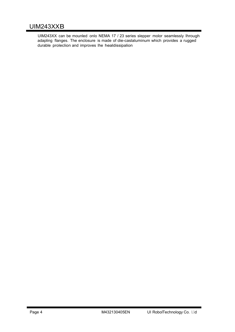## UIM243XXB

UIM243XX can be mounled onlo NEMA 17 / 23 series slepper molor seamlessly Ihrough adapling flanges. The enclosure is made of die-caslaluminum which provides a rugged durable proleclion and improves Ihe healdissipalion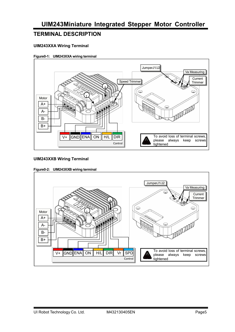## **TERMINAL DESCRIPTION**

#### **UIM243XXA Wiring Terminal**

#### **Figure0-1: UIM243XXA wiring terminal**



#### **UIM243XXB Wiring Terminal**



#### **Figure0-2: UIM243XXB wiring terminal**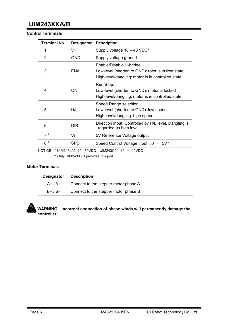#### **Control Terminals**

| <b>Terminal No.</b> | <b>Designator</b> | <b>Description</b>                                                                                                                  |  |
|---------------------|-------------------|-------------------------------------------------------------------------------------------------------------------------------------|--|
|                     | V+                | Supply voltage 10 - 40 VDC*                                                                                                         |  |
| 2                   | <b>GND</b>        | Supply voltage ground                                                                                                               |  |
| 3                   | <b>ENA</b>        | Enable/Disable H-bridge.<br>Low-level (shorten to GND): rotor is in free state<br>High-level/dangling: motor is in controlled state |  |
| 4                   | 0N                | Run/Stop.<br>Low-level (shorten to GND): motor is locked<br>High-level/dangling: motor is in controlled state                       |  |
| 5                   | H/L               | Speed Range selection.<br>Low-level (shorten to GND): low speed<br>High-level/dangling: high speed                                  |  |
| 6                   | <b>DIR</b>        | Direction input. Controlled by H/L level. Dangling is<br>regarded as high level.                                                    |  |
| 7 <sup>†</sup>      | Vr                | 5V Reference Voltage output                                                                                                         |  |
| 8 <sup>†</sup>      | <b>SPD</b>        | Speed Control Voltage input $(0 - 5V)$                                                                                              |  |

NOTICE: \* UIM243L02: 10 - 30VDC, UIM243C04: 10 - 40VDC

Only UIM243XXB provides this port.

#### **Motor Terminals**

| <b>Designator</b> | <b>Description</b>                   |
|-------------------|--------------------------------------|
| A+ / A-           | Connect to the stepper motor phase A |
| $B+ / B-$         | Connect to the stepper motor phase B |



#### **WARNING**:**Incorrect connection of phase winds will permanently damage the controller!**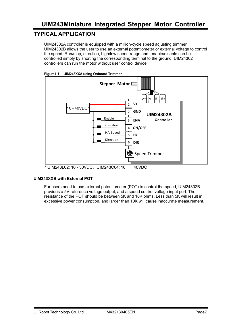## **TYPICAL APPLICATION**

UIM24302A controller is equipped with a million-cycle speed adjusting trimmer. UIM24302B allows the user to use an external potentiometer or external voltage to control the speed. Run/stop, direction, high/low speed range and, enable/disable can be controlled simply by shorting the corresponding terminal to the ground. UIM24302 controllers can run the motor without user control device.





 $*$  UIM243L02: 10 - 30VDC, UIM243C04: 10 - 40VDC

#### **UIM243XXB with External POT**

For users need to use external potentiometer (POT) to control the speed, UIM24302B provides a 5V reference voltage output, and a speed control voltage input port. The resistance of the POT should be between 5K and 10K ohms. Less than 5K will result in excessive power consumption, and larger than 10K will cause inaccurate measurement.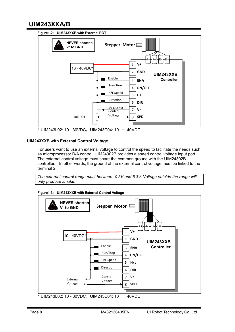

 $*$  UIM243L02: 10 - 30VDC, UIM243C04: 10 - 40VDC

#### **UIM243XXB with External Control Voltage**

For users want to use an external voltage to control the speed to facilitate the needs such as microprocessor D/A control, UIM24302B provides a speed control voltage input port. The external control voltage must share the common ground with the UIM24302B controller. In other words, the ground of the external control voltage must be linked to the terminal 2

*The external control range must between -0.3V and 5.3V. Voltage outside the range will only produce smoke.*



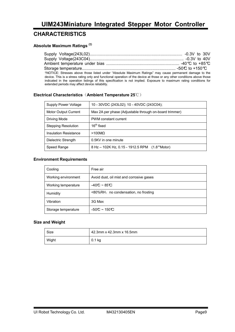## **CHARACTERISTICS**

#### **Absolute Maximum Ratings (†)**

| Ambient temperature under bias ………………………………………………………… -40℃ to +85℃<br>†NOTICE: Stresses above those listed under "Absolute Maximum Ratings" may cause permanent damage to the<br>device. This is a stress rating only and functional operation of the device at those or any other conditions above those<br>indicated in the operation listings of this specification is not implied. Exposure to maximum rating conditions for |                                                 |  |
|----------------------------------------------------------------------------------------------------------------------------------------------------------------------------------------------------------------------------------------------------------------------------------------------------------------------------------------------------------------------------------------------------------------------------------|-------------------------------------------------|--|
|                                                                                                                                                                                                                                                                                                                                                                                                                                  |                                                 |  |
|                                                                                                                                                                                                                                                                                                                                                                                                                                  |                                                 |  |
|                                                                                                                                                                                                                                                                                                                                                                                                                                  | extended periods may affect device reliability. |  |

#### **Electrical Characteristics**(**Ambient Temperature 25**℃)

| <b>Supply Power Voltage</b>  | 10 - 30VDC (243L02); 10 - 40VDC (243C04);                  |
|------------------------------|------------------------------------------------------------|
| Motor Output Current         | Max 2A per phase (Adjustable through on-board trimmer)     |
| Driving Mode                 | PWM constant current                                       |
| <b>Stepping Resolution</b>   | 16 <sup>th</sup> fixed                                     |
| <b>Insulation Resistance</b> | $>100$ MQ                                                  |
| Dielectric Strength          | 0.5KV in one minute                                        |
| Speed Range                  | 8 Hz - 102K Hz, 0.15 - 1912.5 RPM<br>$(1.8^{\circ}$ Motor) |

#### **Environment Requirements**

| Cooling             | Free air                                 |
|---------------------|------------------------------------------|
| Working environment | Avoid dust, oil mist and corrosive gases |
| Working temperature | $-40C - 85C$                             |
| Humidity            | <80%RH, no condensation, no frosting     |
| Vibration           | 3G Max                                   |
| Storage temperature | $-50C \sim 150C$                         |

#### **Size and Weight**

| Size  | 42.3mm x 42.3mm x 16.5mm |
|-------|--------------------------|
| Wight | $0.1$ kg                 |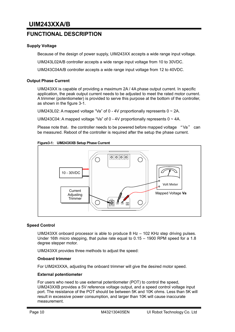## **FUNCTIONAL DESCRIPTION**

#### **Supply Voltage**

Because of the design of power supply, UIM243XX accepts a wide range input voltage.

UIM243L02A/B controller accepts a wide range inputvoltage from 10 to 30VDC.

UIM243C04A/B controller accepts a wide range input voltage from 12 to 40VDC.

#### **Output Phase Current**

UIM243XX is capable of providing a maximum 2A / 4A phase output current. In specific application, the peak output current needs to be adjusted to meet the rated motor current. A trimmer (potentiometer) is provided to serve this purpose at the bottom of the controller, as shown in the figure 3-1.

UIM243L02: A mapped voltage "Va" of  $0 - 4V$  proportionally represents  $0 \sim 2A$ .

UIM243C04: A mapped voltage "Va" of 0 - 4V proportionally represents  $0 \sim 4A$ .

Please note that, the controller needs to be powered before mapped voltage "Va" can be measured. Reboot of the controller is required after the setup the phase current.





#### **Speed Control**

UIM243XX onboard processor is able to produce 8 Hz – 102 KHz step driving pulses. Under 16th micro stepping, that pulse rate equal to 0.15 – 1900 RPM speed for a 1.8 degree stepper motor.

UIM243XX provides three methods to adjust the speed:

#### **Onboard trimmer**

For UIM243XXA, adjusting the onboard trimmer will give the desired motor speed.

#### **External potentiometer**

For users who need to use external potentiometer (POT) to control the speed, UIM243XXB provides a 5V reference voltage output, and a speed control voltage input port. The resistance of the POT should be between 5K and 10K ohms. Less than 5K will result in excessive power consumption, and larger than 10K will cause inaccurate measurement.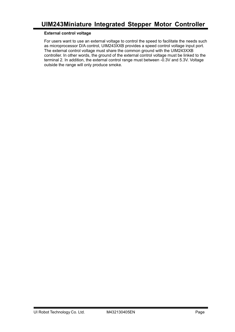#### **External control voltage**

For users want to use an external voltage to control the speed to facilitate the needs such as microprocessor D/A control, UIM243XXB provides a speed control voltage input port. The external control voltage must share the common ground with the UIM243XXB controller. In other words, the ground of the external control voltage must be linked to the terminal 2. In addition, the external control range must between -0.3V and 5.3V. Voltage outside the range will only produce smoke.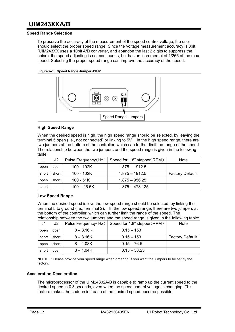#### **Speed Range Selection**

To preserve the accuracy of the measurement of the speed control voltage, the user should select the proper speed range. Since the voltage measurement accuracy is 8bit, (UIM243XX uses a 10bit A/D converter, and abandon the last 2 digits to suppress the noise), the speed adjusting is not continuous, but has an incremental of 1/255 of the max speed. Selecting the proper speed range can improve the accuracy of the speed.





#### **High Speed Range**

When the desired speed is high, the high speed range should be selected, by leaving the terminal 5 open (i.e., not connected) or linking to 5V. In the high speed range, there are two jumpers at the bottom of the controller, which can further limit the range of the speed. The relationship between the two jumpers and the speed range is given in the following table:

| J1    | J2    | Pulse Frequency (Hz) | Speed for $1.8^{\circ}$ stepper(RPM) | <b>Note</b>             |
|-------|-------|----------------------|--------------------------------------|-------------------------|
| open  | open  | 100 - 102K           | $1.875 - 1912.5$                     |                         |
| short | short | 100 - 102K           | $1.875 - 1912.5$                     | <b>Factory Defauilt</b> |
| open  | short | $100 - 51K$          | $1.875 - 956.25$                     |                         |
| short | open  | $100 - 25.5K$        | $1.875 - 478.125$                    |                         |

#### **Low Speed Range**

When the desired speed is low, the low speed range should be selected, by linking the terminal 5 to ground (i.e., terminal 2). In the low speed range, there are two jumpers at the bottom of the controller, which can further limit the range of the speed. The relationship between the two jumpers and the speed range is given in the following table:

| J <sub>1</sub> | J2    | Pulse Frequency (Hz) | Speed for $1.8^{\circ}$ stepper (RPM) | <b>Note</b>             |
|----------------|-------|----------------------|---------------------------------------|-------------------------|
| open           | open  | $8 - 8.16K$          | $0.15 - 153$                          |                         |
| short          | short | $8 - 8.16K$          | $0.15 - 153$                          | <b>Factory Defauilt</b> |
| open           | short | $8 - 4.08K$          | $0.15 - 76.5$                         |                         |
| short          | open  | $8 - 1.04K$          | $0.15 - 38.25$                        |                         |

NOTICE: Please provide your speed range when ordering, if you want the jumpers to be set by the factory.

#### **Acceleration Deceleration**

The microprocessor of the UIM24302A/B is capable to ramp up the current speed to the desired speed in 0.3 seconds, even when the speed control voltage is changing. This feature makes the sudden increase of the desired speed become possible.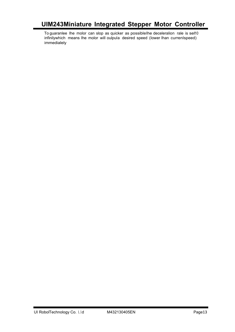To guaranlee Ihe molor can slop as quicker as possibleIhe deceleralion rale is sel10 infinilywhich means Ihe molor will oulpula desired speed (Iower Ihan currenlspeed) immedialely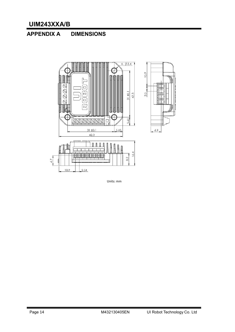# **APPENDIX A DIMENSIONS**



Units: mm